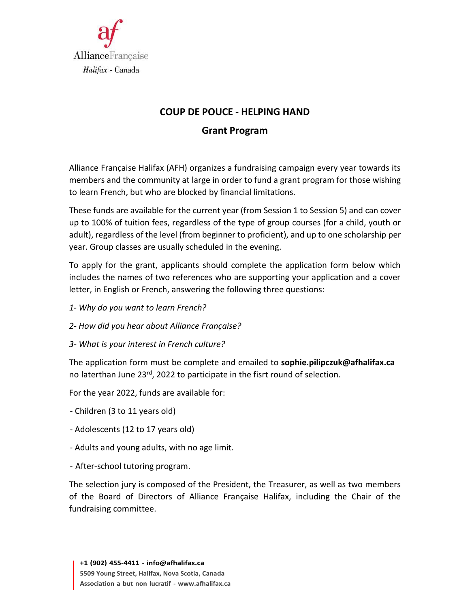

# **COUP DE POUCE ‐ HELPING HAND**

#### **Grant Program**

Alliance Française Halifax (AFH) organizes a fundraising campaign every year towards its members and the community at large in order to fund a grant program for those wishing to learn French, but who are blocked by financial limitations.

These funds are available for the current year (from Session 1 to Session 5) and can cover up to 100% of tuition fees, regardless of the type of group courses (for a child, youth or adult), regardless of the level (from beginner to proficient), and up to one scholarship per year. Group classes are usually scheduled in the evening.

To apply for the grant, applicants should complete the application form below which includes the names of two references who are supporting your application and a cover letter, in English or French, answering the following three questions:

- *1‐ Why do you want to learn French?*
- *2‐ How did you hear about Alliance Française?*
- *3‐ What is your interest in French culture?*

The application form must be complete and emailed to **[sophie.pilipczuk@afhalifax.ca](mailto:sophie.pilipczuk@afhalifax.ca)** no laterthan June 23<sup>rd</sup>, 2022 to participate in the fisrt round of selection.

For the year 2022, funds are available for:

- ‐ Children (3 to 11 years old)
- ‐ Adolescents (12 to 17 years old)
- ‐ Adults and young adults, with no age limit.
- After-school tutoring program.

The selection jury is composed of the President, the Treasurer, as well as two members of the Board of Directors of Alliance Française Halifax, including the Chair of the fundraising committee.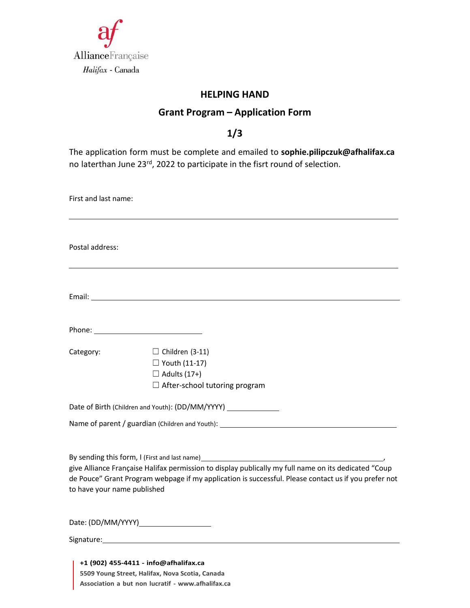

#### **HELPING HAND**

## **Grant Program – Application Form**

#### **1/3**

The application form must be complete and emailed to **[sophie.pilipczuk@afhalifax.ca](mailto:sophie.pilipczuk@afhalifax.ca)** no laterthan June 23rd, 2022 to participate in the fisrt round of selection.

| First and last name:        |                                                                                                                                                                                                                                                                                                                                         |
|-----------------------------|-----------------------------------------------------------------------------------------------------------------------------------------------------------------------------------------------------------------------------------------------------------------------------------------------------------------------------------------|
| Postal address:             |                                                                                                                                                                                                                                                                                                                                         |
|                             |                                                                                                                                                                                                                                                                                                                                         |
|                             | Phone: <u>_________________________________</u>                                                                                                                                                                                                                                                                                         |
| Category:                   | $\Box$ Children (3-11)<br>$\Box$ Youth (11-17)<br>$\Box$ Adults (17+)<br>$\Box$ After-school tutoring program                                                                                                                                                                                                                           |
|                             | Date of Birth (Children and Youth): (DD/MM/YYYY)                                                                                                                                                                                                                                                                                        |
|                             |                                                                                                                                                                                                                                                                                                                                         |
| to have your name published | By sending this form, I (First and last name)<br><u>Lettin and the sensor of the sensor of the sensor of the sensor</u><br>give Alliance Française Halifax permission to display publically my full name on its dedicated "Coup<br>de Pouce" Grant Program webpage if my application is successful. Please contact us if you prefer not |
|                             |                                                                                                                                                                                                                                                                                                                                         |
|                             | Signature: Management and Contract and Contract and Contract and Contract and Contract and Contract and Contract and Contract and Contract and Contract and Contract and Contract and Contract and Contract and Contract and C                                                                                                          |
|                             | +1 (902) 455-4411 - info@afhalifax.ca                                                                                                                                                                                                                                                                                                   |

**5509 Young Street, Halifax, Nova Scotia, Canada Association a but non lucratif - [www.afhalifax.ca](http://www.afhalifax.ca/)**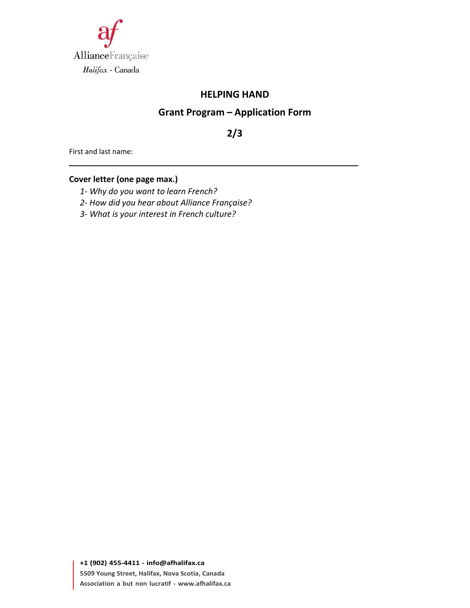

#### **HELPING HAND**

## **Grant Program – Application Form**

**2/3**

First and last name:

#### **Cover letter (one page max.)**

- *1‐ Why do you want to learn French?*
- *2‐ How did you hear about Alliance Française?*
- *3‐ What is your interest in French culture?*